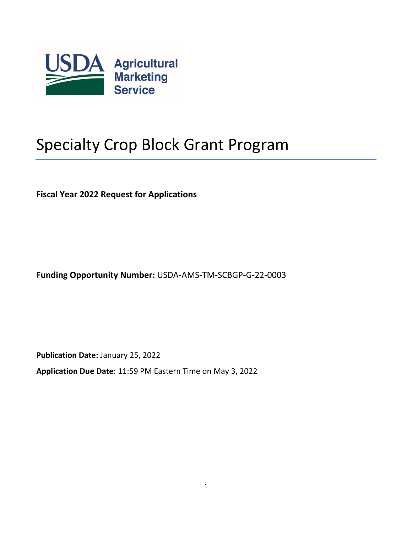

# Specialty Crop Block Grant Program

**Fiscal Year 2022 Request for Applications**

**Funding Opportunity Number:** USDA-AMS-TM-SCBGP-G-22-0003

**Publication Date:** January 25, 2022

**Application Due Date**: 11:59 PM Eastern Time on May 3, 2022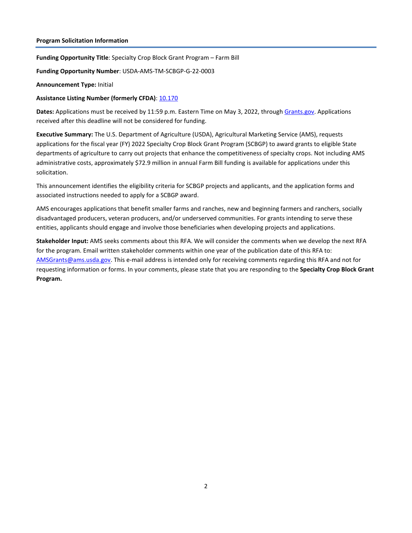#### **Program Solicitation Information**

**Funding Opportunity Title**: Specialty Crop Block Grant Program – Farm Bill

**Funding Opportunity Number**: USDA-AMS-TM-SCBGP-G-22-0003

#### **Announcement Type:** Initial

## **Assistance Listing Number (formerly CFDA)**[: 10.170](https://sam.gov/fal/cf97123432a5486a9a50b2f5b66ff185/view)

**Dates:** Applications must be received by 11:59 p.m. Eastern Time on May 3, 2022, through [Grants.gov.](http://www.grants.gov/) Applications received after this deadline will not be considered for funding.

**Executive Summary:** The U.S. Department of Agriculture (USDA), Agricultural Marketing Service (AMS), requests applications for the fiscal year (FY) 2022 Specialty Crop Block Grant Program (SCBGP) to award grants to eligible State departments of agriculture to carry out projects that enhance the competitiveness of specialty crops. Not including AMS administrative costs, approximately \$72.9 million in annual Farm Bill funding is available for applications under this solicitation.

This announcement identifies the eligibility criteria for SCBGP projects and applicants, and the application forms and associated instructions needed to apply for a SCBGP award.

AMS encourages applications that benefit smaller farms and ranches, new and beginning farmers and ranchers, socially disadvantaged producers, veteran producers, and/or underserved communities. For grants intending to serve these entities, applicants should engage and involve those beneficiaries when developing projects and applications.

**Stakeholder Input:** AMS seeks comments about this RFA. We will consider the comments when we develop the next RFA for the program. Email written stakeholder comments within one year of the publication date of this RFA to: [AMSGrants@ams.usda.gov.](mailto:AMSGrants@ams.usda.gov) This e-mail address is intended only for receiving comments regarding this RFA and not for requesting information or forms. In your comments, please state that you are responding to the **Specialty Crop Block Grant Program.**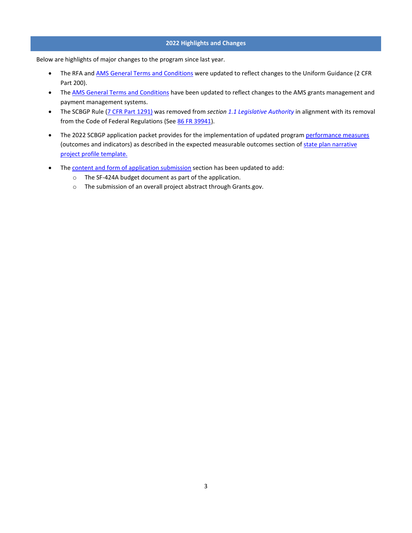#### **2022 Highlights and Changes**

Below are highlights of major changes to the program since last year.

- The RFA and **AMS General Terms and Conditions** were updated to reflect changes to the Uniform Guidance (2 CFR Part 200).
- Th[e AMS General Terms and Conditions](https://www.ams.usda.gov/sites/default/files/media/FY2021_GD_TermsandConditions.pdf) have been updated to reflect changes to the AMS grants management and payment management systems.
- The SCBGP Rule [\(7 CFR Part](https://www.ecfr.gov/on/2017-01-03/title-7/subtitle-B/chapter-XI/part-1291) 1291) was removed from *section [1.1 Legislative Authority](#page-4-0)* in alignment with its removal from the Code of Federal Regulations (See [86 FR 39941\)](https://www.federalregister.gov/documents/2021/07/26/2021-15780/administering-the-specialty-crop-block-grant-program).
- The 2022 SCBGP application packet provides for the implementation of updated progra[m performance measures](#page-10-0) (outcomes and indicators) as described in the expected measurable outcomes section o[f state plan narrative](#page-12-0) [project profile template.](https://www.ams.usda.gov/sites/default/files/media/Application_ProjectProfile_Template.docx)
- Th[e content and form of application submission](#page-11-0) section has been updated to add:
	- o The SF-424A budget document as part of the application.
	- o The submission of an overall project abstract through Grants.gov.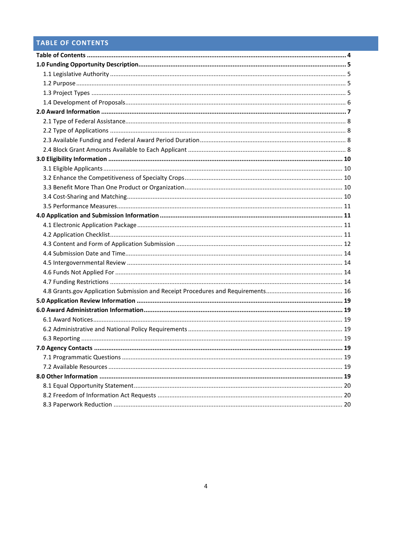## <span id="page-3-0"></span>TABLE OF CONTENTS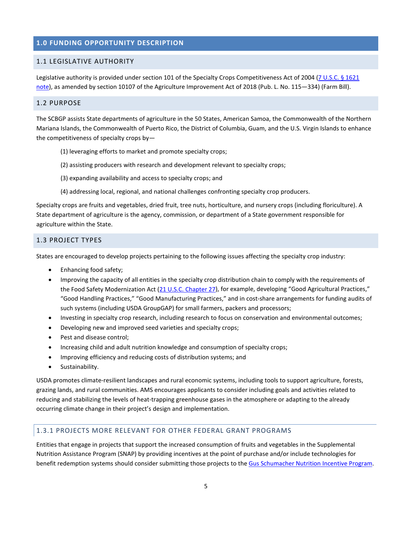## <span id="page-4-1"></span>**1.0 FUNDING OPPORTUNITY DESCRIPTION**

## <span id="page-4-0"></span>1.1 LEGISLATIVE AUTHORITY

Legislative authority is provided under section 101 of the Specialty Crops Competitiveness Act of 2004 (7 U.S.C. § 1621 [note\)](http://uscode.house.gov/view.xhtml?req=(title:7%20section:1621%20edition:prelim)%20OR%20(granuleid:USC-prelim-title7-section1621)&f=treesort&edition=prelim&num=0&jumpTo=true), as amended by section 10107 of the Agriculture Improvement Act of 2018 (Pub. L. No. 115—334) (Farm Bill).

#### <span id="page-4-2"></span>1.2 PURPOSE

The SCBGP assists State departments of agriculture in the 50 States, American Samoa, the Commonwealth of the Northern Mariana Islands, the Commonwealth of Puerto Rico, the District of Columbia, Guam, and the U.S. Virgin Islands to enhance the competitiveness of specialty crops by—

- (1) leveraging efforts to market and promote specialty crops;
- (2) assisting producers with research and development relevant to specialty crops;
- (3) expanding availability and access to specialty crops; and
- (4) addressing local, regional, and national challenges confronting specialty crop producers.

Specialty crops are fruits and vegetables, dried fruit, tree nuts, horticulture, and nursery crops (including floriculture). A State department of agriculture is the agency, commission, or department of a State government responsible for agriculture within the State.

## <span id="page-4-3"></span>1.3 PROJECT TYPES

States are encouraged to develop projects pertaining to the following issues affecting the specialty crop industry:

- Enhancing food safety;
- Improving the capacity of all entities in the specialty crop distribution chain to comply with the requirements of the Food Safety Modernization Act (21 U.S.C. [Chapter 27\)](http://uscode.house.gov/view.xhtml?path=/prelim@title21/chapter27&edition=prelim), for example, developing "Good Agricultural Practices," "Good Handling Practices," "Good Manufacturing Practices," and in cost-share arrangements for funding audits of such systems (including USDA GroupGAP) for small farmers, packers and processors;
- Investing in specialty crop research, including research to focus on conservation and environmental outcomes;
- Developing new and improved seed varieties and specialty crops;
- Pest and disease control;
- Increasing child and adult nutrition knowledge and consumption of specialty crops;
- Improving efficiency and reducing costs of distribution systems; and
- Sustainability.

USDA promotes climate-resilient landscapes and rural economic systems, including tools to support agriculture, forests, grazing lands, and rural communities. AMS encourages applicants to consider including goals and activities related to reducing and stabilizing the levels of heat-trapping greenhouse gases in the atmosphere or adapting to the already occurring climate change in their project's design and implementation.

## 1.3.1 PROJECTS MORE RELEVANT FOR OTHER FEDERAL GRANT PROGRAMS

Entities that engage in projects that support the increased consumption of fruits and vegetables in the Supplemental Nutrition Assistance Program (SNAP) by providing incentives at the point of purchase and/or include technologies for benefit redemption systems should consider submitting those projects to the [Gus Schumacher Nutrition Incentive Program.](https://nifa.usda.gov/funding-opportunity/food-insecurity-nutrition-incentive-fini-grant-program)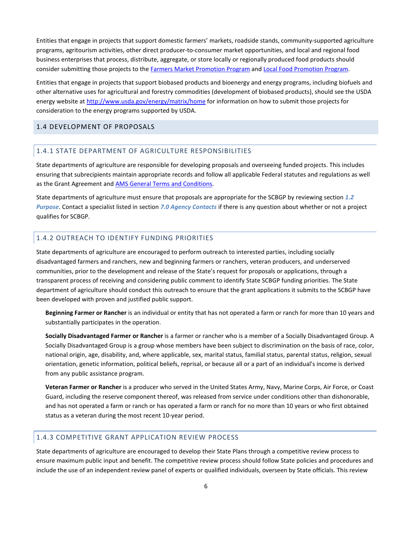Entities that engage in projects that support domestic farmers' markets, roadside stands, community-supported agriculture programs, agritourism activities, other direct producer-to-consumer market opportunities, and local and regional food business enterprises that process, distribute, aggregate, or store locally or regionally produced food products should consider submitting those projects to th[e Farmers Market Promotion Program](http://www.ams.usda.gov/services/grants/fmpp) an[d Local Food Promotion Program.](http://www.ams.usda.gov/services/grants/lfpp)

Entities that engage in projects that support biobased products and bioenergy and energy programs, including biofuels and other alternative uses for agricultural and forestry commodities (development of biobased products), should see the USDA energy website at<http://www.usda.gov/energy/matrix/home> for information on how to submit those projects for consideration to the energy programs supported by USDA.

## <span id="page-5-0"></span>1.4 DEVELOPMENT OF PROPOSALS

## 1.4.1 STATE DEPARTMENT OF AGRICULTURE RESPONSIBILITIES

State departments of agriculture are responsible for developing proposals and overseeing funded projects. This includes ensuring that subrecipients maintain appropriate records and follow all applicable Federal statutes and regulations as well as the Grant Agreement an[d AMS General Terms and Conditions.](https://www.ams.usda.gov/sites/default/files/media/FY2021_GD_TermsandConditions.pdf)

State departments of agriculture must ensure that proposals are appropriate for the SCBGP by reviewing section *[1.2](#page-4-2)  [Purpose](#page-4-2)*. Contact a specialist listed in section *[7.0 Agency Contacts](#page-18-5)* if there is any question about whether or not a project qualifies for SCBGP.

## 1.4.2 OUTREACH TO IDENTIFY FUNDING PRIORITIES

State departments of agriculture are encouraged to perform outreach to interested parties, including socially disadvantaged farmers and ranchers, new and beginning farmers or ranchers, veteran producers, and underserved communities, prior to the development and release of the State's request for proposals or applications, through a transparent process of receiving and considering public comment to identify State SCBGP funding priorities. The State department of agriculture should conduct this outreach to ensure that the grant applications it submits to the SCBGP have been developed with proven and justified public support.

**Beginning Farmer or Rancher** is an individual or entity that has not operated a farm or ranch for more than 10 years and substantially participates in the operation.

**Socially Disadvantaged Farmer or Rancher** is a farmer or rancher who is a member of a Socially Disadvantaged Group. A Socially Disadvantaged Group is a group whose members have been subject to discrimination on the basis of race, color, national origin, age, disability, and, where applicable, sex, marital status, familial status, parental status, religion, sexual orientation, genetic information, political beliefs, reprisal, or because all or a part of an individual's income is derived from any public assistance program.

**Veteran Farmer or Rancher** is a producer who served in the United States Army, Navy, Marine Corps, Air Force, or Coast Guard, including the reserve component thereof, was released from service under conditions other than dishonorable, and has not operated a farm or ranch or has operated a farm or ranch for no more than 10 years or who first obtained status as a veteran during the most recent 10-year period.

## 1.4.3 COMPETITIVE GRANT APPLICATION REVIEW PROCESS

State departments of agriculture are encouraged to develop their State Plans through a competitive review process to ensure maximum public input and benefit. The competitive review process should follow State policies and procedures and include the use of an independent review panel of experts or qualified individuals, overseen by State officials. This review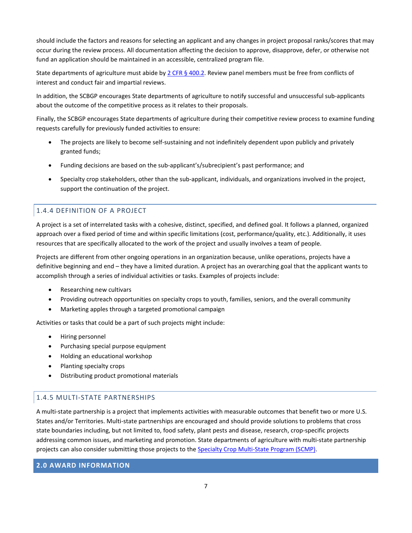should include the factors and reasons for selecting an applicant and any changes in project proposal ranks/scores that may occur during the review process. All documentation affecting the decision to approve, disapprove, defer, or otherwise not fund an application should be maintained in an accessible, centralized program file.

State departments of agriculture must abide by 2 CFR  $\S$  400.2. Review panel members must be free from conflicts of interest and conduct fair and impartial reviews.

In addition, the SCBGP encourages State departments of agriculture to notify successful and unsuccessful sub-applicants about the outcome of the competitive process as it relates to their proposals.

Finally, the SCBGP encourages State departments of agriculture during their competitive review process to examine funding requests carefully for previously funded activities to ensure:

- The projects are likely to become self-sustaining and not indefinitely dependent upon publicly and privately granted funds;
- Funding decisions are based on the sub-applicant's/subrecipient's past performance; and
- Specialty crop stakeholders, other than the sub-applicant, individuals, and organizations involved in the project, support the continuation of the project.

## 1.4.4 DEFINITION OF A PROJECT

A project is a set of interrelated tasks with a cohesive, distinct, specified, and defined goal. It follows a planned, organized approach over a fixed period of time and within specific limitations (cost, performance/quality, etc.). Additionally, it uses resources that are specifically allocated to the work of the project and usually involves a team of people.

Projects are different from other ongoing operations in an organization because, unlike operations, projects have a definitive beginning and end – they have a limited duration. A project has an overarching goal that the applicant wants to accomplish through a series of individual activities or tasks. Examples of projects include:

- Researching new cultivars
- Providing outreach opportunities on specialty crops to youth, families, seniors, and the overall community
- Marketing apples through a targeted promotional campaign

Activities or tasks that could be a part of such projects might include:

- Hiring personnel
- Purchasing special purpose equipment
- Holding an educational workshop
- Planting specialty crops
- Distributing product promotional materials

## 1.4.5 MULTI-STATE PARTNERSHIPS

A multi-state partnership is a project that implements activities with measurable outcomes that benefit two or more U.S. States and/or Territories. Multi-state partnerships are encouraged and should provide solutions to problems that cross state boundaries including, but not limited to, food safety, plant pests and disease, research, crop-specific projects addressing common issues, and marketing and promotion. State departments of agriculture with multi-state partnership projects can also consider submitting those projects to the **Specialty Crop Multi-State Program (SCMP)**.

## <span id="page-6-0"></span>**2.0 AWARD INFORMATION**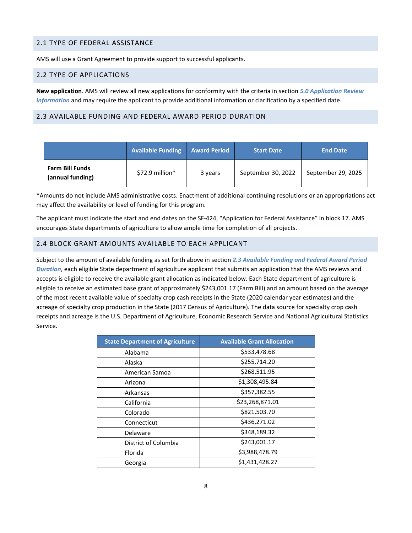## <span id="page-7-0"></span>2.1 TYPE OF FEDERAL ASSISTANCE

AMS will use a Grant Agreement to provide support to successful applicants.

## <span id="page-7-1"></span>2.2 TYPE OF APPLICATIONS

**New application**. AMS will review all new applications for conformity with the criteria in section *[5.0 Application Review](#page-18-0)  [Information](#page-18-0)* and may require the applicant to provide additional information or clarification by a specified date.

## <span id="page-7-2"></span>2.3 AVAILABLE FUNDING AND FEDERAL AWARD PERIOD DURATION

|                                            | <b>Available Funding</b> | <b>Award Period</b> | <b>Start Date</b>  | <b>End Date</b>    |
|--------------------------------------------|--------------------------|---------------------|--------------------|--------------------|
| <b>Farm Bill Funds</b><br>(annual funding) | $$72.9$ million*         | 3 years             | September 30, 2022 | September 29, 2025 |

\*Amounts do not include AMS administrative costs. Enactment of additional continuing resolutions or an appropriations act may affect the availability or level of funding for this program.

The applicant must indicate the start and end dates on the SF-424, "Application for Federal Assistance" in block 17. AMS encourages State departments of agriculture to allow ample time for completion of all projects.

## <span id="page-7-3"></span>2.4 BLOCK GRANT AMOUNTS AVAILABLE TO EACH APPLICANT

Subject to the amount of available funding as set forth above in section *[2.3 Available Funding](#page-7-2) and Federal Award Period Duration*, each eligible State department of agriculture applicant that submits an application that the AMS reviews and accepts is eligible to receive the available grant allocation as indicated below. Each State department of agriculture is eligible to receive an estimated base grant of approximately \$243,001.17 (Farm Bill) and an amount based on the average of the most recent available value of specialty crop cash receipts in the State (2020 calendar year estimates) and the acreage of specialty crop production in the State (2017 Census of Agriculture). The data source for specialty crop cash receipts and acreage is the U.S. Department of Agriculture, Economic Research Service and National Agricultural Statistics Service.

| <b>State Department of Agriculture</b> | <b>Available Grant Allocation</b> |
|----------------------------------------|-----------------------------------|
| Alabama                                | \$533,478.68                      |
| Alaska                                 | \$255,714.20                      |
| American Samoa                         | \$268,511.95                      |
| Arizona                                | \$1,308,495.84                    |
| Arkansas                               | \$357,382.55                      |
| California                             | \$23,268,871.01                   |
| Colorado                               | \$821,503.70                      |
| Connecticut                            | \$436,271.02                      |
| Delaware                               | \$348,189.32                      |
| District of Columbia                   | \$243,001.17                      |
| Florida                                | \$3,988,478.79                    |
| Georgia                                | \$1,431,428.27                    |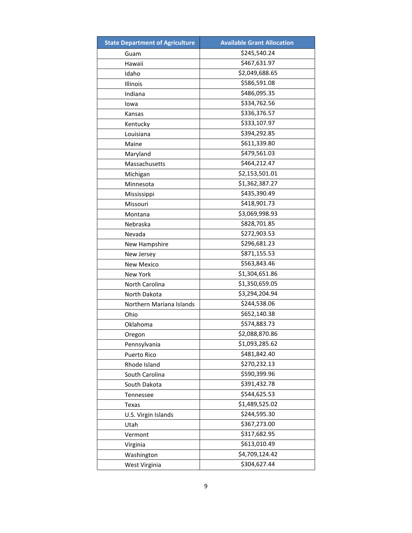| <b>State Department of Agriculture</b> | <b>Available Grant Allocation</b> |
|----------------------------------------|-----------------------------------|
| Guam                                   | \$245,540.24                      |
| Hawaii                                 | \$467,631.97                      |
| Idaho                                  | \$2,049,688.65                    |
| Illinois                               | \$586,591.08                      |
| Indiana                                | \$486,095.35                      |
| lowa                                   | \$334,762.56                      |
| Kansas                                 | \$336,376.57                      |
| Kentucky                               | \$333,107.97                      |
| Louisiana                              | \$394,292.85                      |
| Maine                                  | \$611,339.80                      |
| Maryland                               | \$479,561.03                      |
| Massachusetts                          | \$464,212.47                      |
| Michigan                               | \$2,153,501.01                    |
| Minnesota                              | \$1,362,387.27                    |
| Mississippi                            | \$435,390.49                      |
| Missouri                               | \$418,901.73                      |
| Montana                                | \$3,069,998.93                    |
| Nebraska                               | \$828,701.85                      |
| Nevada                                 | \$272,903.53                      |
| New Hampshire                          | \$296,681.23                      |
| New Jersey                             | \$871,155.53                      |
| <b>New Mexico</b>                      | \$563,843.46                      |
| New York                               | \$1,304,651.86                    |
| North Carolina                         | \$1,350,659.05                    |
| North Dakota                           | \$3,294,204.94                    |
| Northern Mariana Islands               | \$244,538.06                      |
| Ohio                                   | \$652,140.38                      |
| Oklahoma                               | \$574,883.73                      |
| Oregon                                 | \$2,088,870.86                    |
| Pennsylvania                           | \$1,093,285.62                    |
| Puerto Rico                            | \$481,842.40                      |
| Rhode Island                           | \$270,232.13                      |
| South Carolina                         | \$590,399.96                      |
| South Dakota                           | \$391,432.78                      |
| Tennessee                              | \$544,625.53                      |
| Texas                                  | \$1,489,525.02                    |
| U.S. Virgin Islands                    | \$244,595.30                      |
| Utah                                   | \$367,273.00                      |
| Vermont                                | \$317,682.95                      |
| Virginia                               | \$613,010.49                      |
| Washington                             | \$4,709,124.42                    |
| West Virginia                          | \$304,627.44                      |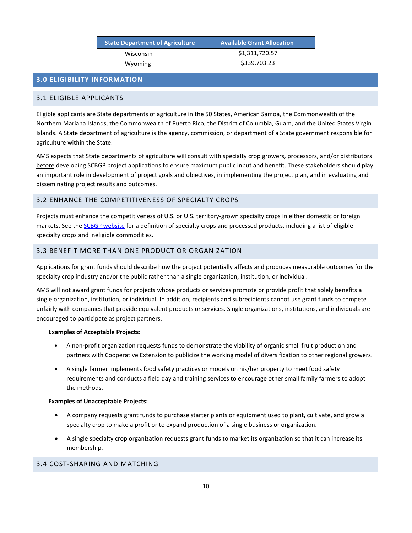| <b>State Department of Agriculture</b> | <b>Available Grant Allocation</b> |
|----------------------------------------|-----------------------------------|
| Wisconsin                              | \$1,311,720.57                    |
| Wyoming                                | \$339,703.23                      |

## <span id="page-9-0"></span>**3.0 ELIGIBILITY INFORMATION**

## <span id="page-9-1"></span>3.1 ELIGIBLE APPLICANTS

Eligible applicants are State departments of agriculture in the 50 States, American Samoa, the Commonwealth of the Northern Mariana Islands, the Commonwealth of Puerto Rico, the District of Columbia, Guam, and the United States Virgin Islands. A State department of agriculture is the agency, commission, or department of a State government responsible for agriculture within the State.

AMS expects that State departments of agriculture will consult with specialty crop growers, processors, and/or distributors before developing SCBGP project applications to ensure maximum public input and benefit. These stakeholders should play an important role in development of project goals and objectives, in implementing the project plan, and in evaluating and disseminating project results and outcomes.

## <span id="page-9-2"></span>3.2 ENHANCE THE COMPETITIVENESS OF SPECIALTY CROPS

Projects must enhance the competitiveness of U.S. or U.S. territory-grown specialty crops in either domestic or foreign markets. See th[e SCBGP website](http://www.ams.usda.gov/services/grants/scbgp/specialty-crop) for a definition of specialty crops and processed products, including a list of eligible specialty crops and ineligible commodities.

## <span id="page-9-3"></span>3.3 BENEFIT MORE THAN ONE PRODUCT OR ORGANIZATION

Applications for grant funds should describe how the project potentially affects and produces measurable outcomes for the specialty crop industry and/or the public rather than a single organization, institution, or individual.

AMS will not award grant funds for projects whose products or services promote or provide profit that solely benefits a single organization, institution, or individual. In addition, recipients and subrecipients cannot use grant funds to compete unfairly with companies that provide equivalent products or services. Single organizations, institutions, and individuals are encouraged to participate as project partners.

#### **Examples of Acceptable Projects:**

- A non-profit organization requests funds to demonstrate the viability of organic small fruit production and partners with Cooperative Extension to publicize the working model of diversification to other regional growers.
- A single farmer implements food safety practices or models on his/her property to meet food safety requirements and conducts a field day and training services to encourage other small family farmers to adopt the methods.

#### **Examples of Unacceptable Projects:**

- A company requests grant funds to purchase starter plants or equipment used to plant, cultivate, and grow a specialty crop to make a profit or to expand production of a single business or organization.
- A single specialty crop organization requests grant funds to market its organization so that it can increase its membership.

## <span id="page-9-4"></span>3.4 COST-SHARING AND MATCHING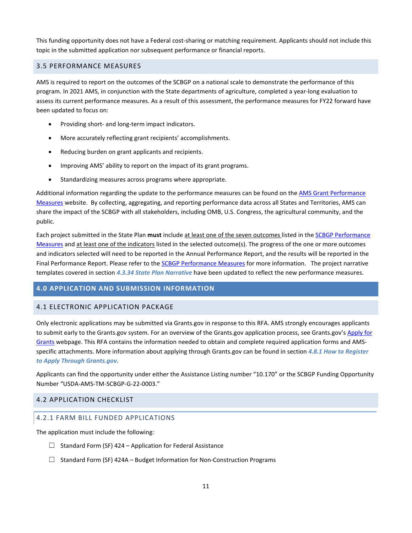This funding opportunity does not have a Federal cost-sharing or matching requirement. Applicants should not include this topic in the submitted application nor subsequent performance or financial reports.

## <span id="page-10-0"></span>3.5 PERFORMANCE MEASURES

AMS is required to report on the outcomes of the SCBGP on a national scale to demonstrate the performance of this program. In 2021 AMS, in conjunction with the State departments of agriculture, completed a year-long evaluation to assess its current performance measures. As a result of this assessment, the performance measures for FY22 forward have been updated to focus on:

- Providing short- and long-term impact indicators.
- More accurately reflecting grant recipients' accomplishments.
- Reducing burden on grant applicants and recipients.
- Improving AMS' ability to report on the impact of its grant programs.
- <span id="page-10-4"></span>• Standardizing measures across programs where appropriate.

Additional information regarding the update to the performance measures can be found on th[e AMS Grant Performance](https://www.ams.usda.gov/services/grants/performance-measures)  [Measures](https://www.ams.usda.gov/services/grants/performance-measures) website. By collecting, aggregating, and reporting performance data across all States and Territories, AMS can share the impact of the SCBGP with all stakeholders, including OMB, U.S. Congress, the agricultural community, and the public.

Each project submitted in the State Plan **must** include at least one of the seven outcomes listed in the [SCBGP Performance](https://www.ams.usda.gov/sites/default/files/media/SCBGPPerformanceMeasures.pdf)  [Measures](https://www.ams.usda.gov/sites/default/files/media/SCBGPPerformanceMeasures.pdf) and at least one of the indicators listed in the selected outcome(s). The progress of the one or more outcomes and indicators selected will need to be reported in the Annual Performance Report, and the results will be reported in the Final Performance Report. Please refer to th[e SCBGP Performance](https://www.ams.usda.gov/sites/default/files/media/SCBGPPerformanceMeasures.pdf) Measures for more information. The project narrative templates covered in section *[4.3.34 State Plan Narrative](#page-12-0)* have been updated to reflect the new performance measures.

## <span id="page-10-1"></span>**4.0 APPLICATION AND SUBMISSION INFORMATION**

## <span id="page-10-2"></span>4.1 ELECTRONIC APPLICATION PACKAGE

Only electronic applications may be submitted via Grants.gov in response to this RFA. AMS strongly encourages applicants to submit early to the Grants.gov system. For an overview of the Grants.gov application process, see Grants.gov's Apply for [Grants](http://www.grants.gov/web/grants/applicants/apply-for-grants.html) webpage. This RFA contains the information needed to obtain and complete required application forms and AMSspecific attachments. More information about applying through Grants.gov can be found in section *[4.8.1 How to Register](#page-15-1)  [to Apply Through Grants.gov](#page-15-1)*.

Applicants can find the opportunity under either the Assistance Listing number "10.170" or the SCBGP Funding Opportunity Number "USDA-AMS-TM-SCBGP-G-22-0003."

## <span id="page-10-3"></span>4.2 APPLICATION CHECKLIST

## 4.2.1 FARM BILL FUNDED APPLICATIONS

The application must include the following:

- $\Box$  Standard Form (SF) 424 Application for Federal Assistance
- $\Box$  Standard Form (SF) 424A Budget Information for Non-Construction Programs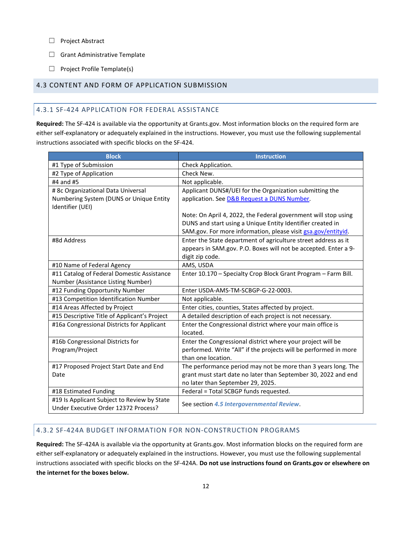- ☐ Project Abstract
- □ Grant Administrative Template
- $\Box$  Project Profile Template(s)

## <span id="page-11-0"></span>4.3 CONTENT AND FORM OF APPLICATION SUBMISSION

## 4.3.1 SF-424 APPLICATION FOR FEDERAL ASSISTANCE

**Required:** The SF-424 is available via the opportunity at Grants.gov. Most information blocks on the required form are either self-explanatory or adequately explained in the instructions. However, you must use the following supplemental instructions associated with specific blocks on the SF-424.

| <b>Block</b>                                                                        | <b>Instruction</b>                                               |
|-------------------------------------------------------------------------------------|------------------------------------------------------------------|
| #1 Type of Submission                                                               | Check Application.                                               |
| #2 Type of Application                                                              | Check New.                                                       |
| #4 and #5                                                                           | Not applicable.                                                  |
| # 8c Organizational Data Universal                                                  | Applicant DUNS#/UEI for the Organization submitting the          |
| Numbering System (DUNS or Unique Entity                                             | application. See D&B Request a DUNS Number.                      |
| Identifier (UEI)                                                                    |                                                                  |
|                                                                                     | Note: On April 4, 2022, the Federal government will stop using   |
|                                                                                     | DUNS and start using a Unique Entity Identifier created in       |
|                                                                                     | SAM.gov. For more information, please visit gsa.gov/entityid.    |
| #8d Address                                                                         | Enter the State department of agriculture street address as it   |
|                                                                                     | appears in SAM.gov. P.O. Boxes will not be accepted. Enter a 9-  |
|                                                                                     | digit zip code.                                                  |
| #10 Name of Federal Agency                                                          | AMS, USDA                                                        |
| #11 Catalog of Federal Domestic Assistance                                          | Enter 10.170 - Specialty Crop Block Grant Program - Farm Bill.   |
| Number (Assistance Listing Number)                                                  |                                                                  |
| #12 Funding Opportunity Number                                                      | Enter USDA-AMS-TM-SCBGP-G-22-0003.                               |
| #13 Competition Identification Number                                               | Not applicable.                                                  |
| #14 Areas Affected by Project                                                       | Enter cities, counties, States affected by project.              |
| #15 Descriptive Title of Applicant's Project                                        | A detailed description of each project is not necessary.         |
| #16a Congressional Districts for Applicant                                          | Enter the Congressional district where your main office is       |
|                                                                                     | located.                                                         |
| #16b Congressional Districts for                                                    | Enter the Congressional district where your project will be      |
| Program/Project                                                                     | performed. Write "All" if the projects will be performed in more |
|                                                                                     | than one location.                                               |
| #17 Proposed Project Start Date and End                                             | The performance period may not be more than 3 years long. The    |
| Date                                                                                | grant must start date no later than September 30, 2022 and end   |
|                                                                                     | no later than September 29, 2025.                                |
| #18 Estimated Funding                                                               | Federal = Total SCBGP funds requested.                           |
| #19 Is Applicant Subject to Review by State<br>Under Executive Order 12372 Process? | See section 4.5 Intergovernmental Review.                        |
|                                                                                     |                                                                  |

## 4.3.2 SF-424A BUDGET INFORMATION FOR NON-CONSTRUCTION PROGRAMS

**Required:** The SF-424A is available via the opportunity at Grants.gov. Most information blocks on the required form are either self-explanatory or adequately explained in the instructions. However, you must use the following supplemental instructions associated with specific blocks on the SF-424A. **Do not use instructions found on Grants.gov or elsewhere on the internet for the boxes below.**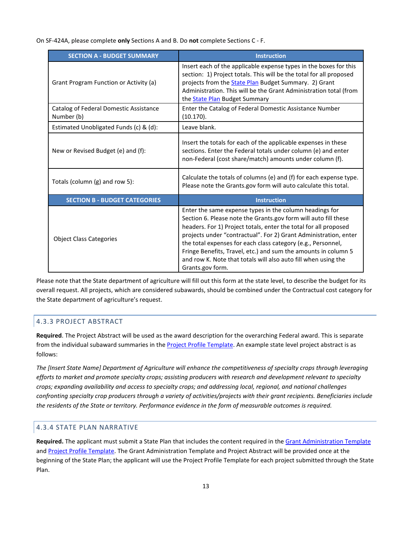On SF-424A, please complete **only** Sections A and B. Do **not** complete Sections C - F.

| <b>SECTION A - BUDGET SUMMARY</b>                    | <b>Instruction</b>                                                                                                                                                                                                                                                                                                                                                                                                                                                                         |
|------------------------------------------------------|--------------------------------------------------------------------------------------------------------------------------------------------------------------------------------------------------------------------------------------------------------------------------------------------------------------------------------------------------------------------------------------------------------------------------------------------------------------------------------------------|
| Grant Program Function or Activity (a)               | Insert each of the applicable expense types in the boxes for this<br>section: 1) Project totals. This will be the total for all proposed<br>projects from the <b>State Plan Budget Summary.</b> 2) Grant<br>Administration. This will be the Grant Administration total (from<br>the <b>State Plan</b> Budget Summary                                                                                                                                                                      |
| Catalog of Federal Domestic Assistance<br>Number (b) | Enter the Catalog of Federal Domestic Assistance Number<br>(10.170).                                                                                                                                                                                                                                                                                                                                                                                                                       |
| Estimated Unobligated Funds (c) & (d):               | Leave blank.                                                                                                                                                                                                                                                                                                                                                                                                                                                                               |
| New or Revised Budget (e) and (f):                   | Insert the totals for each of the applicable expenses in these<br>sections. Enter the Federal totals under column (e) and enter<br>non-Federal (cost share/match) amounts under column (f).                                                                                                                                                                                                                                                                                                |
| Totals (column (g) and row 5):                       | Calculate the totals of columns (e) and (f) for each expense type.<br>Please note the Grants.gov form will auto calculate this total.                                                                                                                                                                                                                                                                                                                                                      |
| <b>SECTION B - BUDGET CATEGORIES</b>                 | <b>Instruction</b>                                                                                                                                                                                                                                                                                                                                                                                                                                                                         |
| <b>Object Class Categories</b>                       | Enter the same expense types in the column headings for<br>Section 6. Please note the Grants.gov form will auto fill these<br>headers. For 1) Project totals, enter the total for all proposed<br>projects under "contractual". For 2) Grant Administration, enter<br>the total expenses for each class category (e.g., Personnel,<br>Fringe Benefits, Travel, etc.) and sum the amounts in column 5<br>and row K. Note that totals will also auto fill when using the<br>Grants.gov form. |

Please note that the State department of agriculture will fill out this form at the state level, to describe the budget for its overall request. All projects, which are considered subawards, should be combined under the Contractual cost category for the State department of agriculture's request.

## 4.3.3 PROJECT ABSTRACT

**Required**. The Project Abstract will be used as the award description for the overarching Federal award. This is separate from the individual subaward summaries in th[e Project Profile Template.](https://www.ams.usda.gov/sites/default/files/media/Application_ProjectProfile_Template.docx) An example state level project abstract is as follows:

*The [Insert State Name] Department of Agriculture will enhance the competitiveness of specialty crops through leveraging efforts to market and promote specialty crops; assisting producers with research and development relevant to specialty crops; expanding availability and access to specialty crops; and addressing local, regional, and national challenges confronting specialty crop producers through a variety of activities/projects with their grant recipients. Beneficiaries include the residents of the State or territory. Performance evidence in the form of measurable outcomes is required.*

## <span id="page-12-0"></span>4.3.4 STATE PLAN NARRATIVE

**Required.** The applicant must submit a State Plan that includes the content required in th[e Grant Administration Template](https://www.ams.usda.gov/sites/default/files/media/Application_SDOA_Template.docx) an[d Project Profile Template.](https://www.ams.usda.gov/sites/default/files/media/Application_ProjectProfile_Template.docx) The Grant Administration Template and Project Abstract will be provided once at the beginning of the State Plan; the applicant will use the Project Profile Template for each project submitted through the State Plan.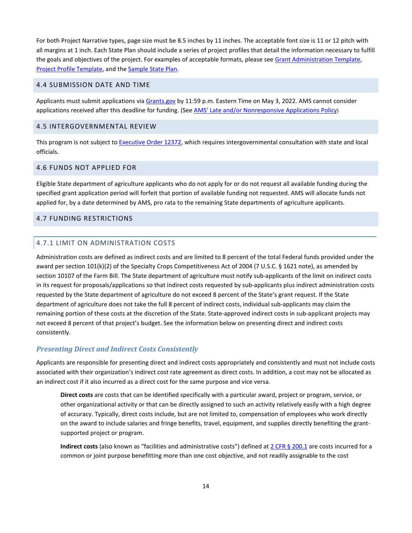For both Project Narrative types, page size must be 8.5 inches by 11 inches. The acceptable font size is 11 or 12 pitch with all margins at 1 inch. Each State Plan should include a series of project profiles that detail the information necessary to fulfill the goals and objectives of the project. For examples of acceptable formats, please see [Grant Administration](https://www.ams.usda.gov/sites/default/files/media/Application_SDOA_Template.docx) Template, [Project Profile](https://www.ams.usda.gov/sites/default/files/media/Application_ProjectProfile_Template.docx) Template, and th[e Sample State Plan.](https://www.ams.usda.gov/sites/default/files/media/SCBGPSampleStatePlan.pdf)

## <span id="page-13-0"></span>4.4 SUBMISSION DATE AND TIME

Applicants must submit applications via [Grants.gov](http://www.grants.gov/) by 11:59 p.m. Eastern Time on May 3, 2022. AMS cannot consider applications received after this deadline for funding. (See [AMS' Late and/or Nonresponsive Applications Policy\)](https://www.ams.usda.gov/sites/default/files/media/AMSPolicyonConsiderationofLateNonresponsiveApplications.pdf)

## <span id="page-13-1"></span>4.5 INTERGOVERNMENTAL REVIEW

This program is not subject to [Executive Order 12372,](https://www.whitehouse.gov/wp-content/uploads/2020/04/SPOC-4-13-20.pdf) which requires intergovernmental consultation with state and local officials.

## <span id="page-13-2"></span>4.6 FUNDS NOT APPLIED FOR

Eligible State department of agriculture applicants who do not apply for or do not request all available funding during the specified grant application period will forfeit that portion of available funding not requested. AMS will allocate funds not applied for, by a date determined by AMS, pro rata to the remaining State departments of agriculture applicants.

## <span id="page-13-3"></span>4.7 FUNDING RESTRICTIONS

#### 4.7.1 LIMIT ON ADMINISTRATION COSTS

Administration costs are defined as indirect costs and are limited to 8 percent of the total Federal funds provided under the award per section 101(k)(2) of the Specialty Crops Competitiveness Act of 2004 (7 U.S.C. § 1621 note), as amended by section 10107 of the Farm Bill. The State department of agriculture must notify sub-applicants of the limit on indirect costs in its request for proposals/applications so that indirect costs requested by sub-applicants plus indirect administration costs requested by the State department of agriculture do not exceed 8 percent of the State's grant request. If the State department of agriculture does not take the full 8 percent of indirect costs, individual sub-applicants may claim the remaining portion of these costs at the discretion of the State. State-approved indirect costs in sub-applicant projects may not exceed 8 percent of that project's budget. See the information below on presenting direct and indirect costs consistently.

#### *Presenting Direct and Indirect Costs Consistently*

Applicants are responsible for presenting direct and indirect costs appropriately and consistently and must not include costs associated with their organization's indirect cost rate agreement as direct costs. In addition, a cost may not be allocated as an indirect cost if it also incurred as a direct cost for the same purpose and vice versa.

**Direct costs** are costs that can be identified specifically with a particular award, project or program, service, or other organizational activity or that can be directly assigned to such an activity relatively easily with a high degree of accuracy. Typically, direct costs include, but are not limited to, compensation of employees who work directly on the award to include salaries and fringe benefits, travel, equipment, and supplies directly benefiting the grantsupported project or program.

**Indirect costs** (also known as "facilities and administrative costs") defined at [2 CFR §](https://www.ecfr.gov/current/title-2/subtitle-A/chapter-II/part-200/subpart-A/subject-group-ECFR2a6a0087862fd2c/section-200.1) 200.1 are costs incurred for a common or joint purpose benefitting more than one cost objective, and not readily assignable to the cost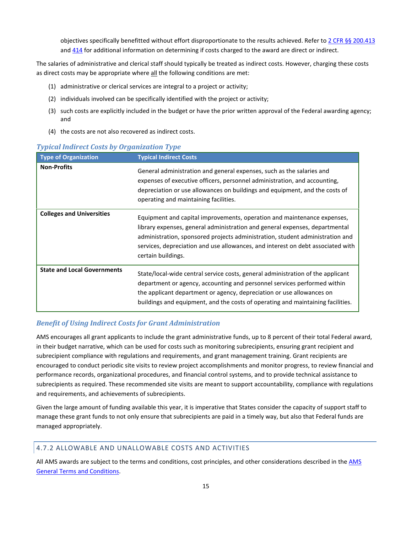objectives specifically benefitted without effort disproportionate to the results achieved. Refer to [2 CFR §§ 200.413](https://www.ecfr.gov/current/title-2/subtitle-A/chapter-II/part-200/subpart-E/subject-group-ECFRd93f2a98b1f6455/section-200.413) an[d 414](https://www.ecfr.gov/current/title-2/subtitle-A/chapter-II/part-200/subpart-E/subject-group-ECFRd93f2a98b1f6455/section-200.414) for additional information on determining if costs charged to the award are direct or indirect.

The salaries of administrative and clerical staff should typically be treated as indirect costs. However, charging these costs as direct costs may be appropriate where all the following conditions are met:

- (1) administrative or clerical services are integral to a project or activity;
- (2) individuals involved can be specifically identified with the project or activity;
- (3) such costs are explicitly included in the budget or have the prior written approval of the Federal awarding agency; and
- (4) the costs are not also recovered as indirect costs.

#### *Typical Indirect Costs by Organization Type*

| <b>Type of Organization</b>        | <b>Typical Indirect Costs</b>                                                                                                                                                                                                                                                                                                                    |
|------------------------------------|--------------------------------------------------------------------------------------------------------------------------------------------------------------------------------------------------------------------------------------------------------------------------------------------------------------------------------------------------|
| <b>Non-Profits</b>                 | General administration and general expenses, such as the salaries and<br>expenses of executive officers, personnel administration, and accounting,<br>depreciation or use allowances on buildings and equipment, and the costs of<br>operating and maintaining facilities.                                                                       |
| <b>Colleges and Universities</b>   | Equipment and capital improvements, operation and maintenance expenses,<br>library expenses, general administration and general expenses, departmental<br>administration, sponsored projects administration, student administration and<br>services, depreciation and use allowances, and interest on debt associated with<br>certain buildings. |
| <b>State and Local Governments</b> | State/local-wide central service costs, general administration of the applicant<br>department or agency, accounting and personnel services performed within<br>the applicant department or agency, depreciation or use allowances on<br>buildings and equipment, and the costs of operating and maintaining facilities.                          |

#### *Benefit of Using Indirect Costs for Grant Administration*

AMS encourages all grant applicants to include the grant administrative funds, up to 8 percent of their total Federal award, in their budget narrative, which can be used for costs such as monitoring subrecipients, ensuring grant recipient and subrecipient compliance with regulations and requirements, and grant management training. Grant recipients are encouraged to conduct periodic site visits to review project accomplishments and monitor progress, to review financial and performance records, organizational procedures, and financial control systems, and to provide technical assistance to subrecipients as required. These recommended site visits are meant to support accountability, compliance with regulations and requirements, and achievements of subrecipients.

Given the large amount of funding available this year, it is imperative that States consider the capacity of support staff to manage these grant funds to not only ensure that subrecipients are paid in a timely way, but also that Federal funds are managed appropriately.

## 4.7.2 ALLOWABLE AND UNALLOWABLE COSTS AND ACTIVITIES

All AMS awards are subject to the terms and conditions, cost principles, and other considerations described in the AMS [General Terms and Conditions.](https://www.ams.usda.gov/sites/default/files/media/FY2021_GD_TermsandConditions.pdf)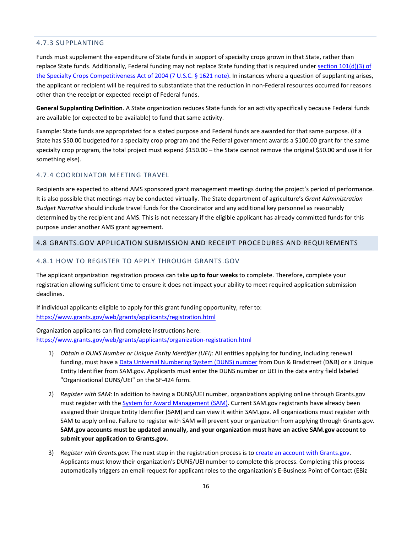## 4.7.3 SUPPLANTING

Funds must supplement the expenditure of State funds in support of specialty crops grown in that State, rather than replace State funds. Additionally, Federal funding may not replace State funding that is required under section 101(d)(3) of [the Specialty Crops Competitiveness Act of 2004 \(7 U.S.C. § 1621 note\).](https://www.congress.gov/108/plaws/publ465/PLAW-108publ465.pdf) In instances where a question of supplanting arises, the applicant or recipient will be required to substantiate that the reduction in non-Federal resources occurred for reasons other than the receipt or expected receipt of Federal funds.

**General Supplanting Definition**. A State organization reduces State funds for an activity specifically because Federal funds are available (or expected to be available) to fund that same activity.

Example: State funds are appropriated for a stated purpose and Federal funds are awarded for that same purpose. (If a State has \$50.00 budgeted for a specialty crop program and the Federal government awards a \$100.00 grant for the same specialty crop program, the total project must expend \$150.00 – the State cannot remove the original \$50.00 and use it for something else).

## 4.7.4 COORDINATOR MEETING TRAVEL

Recipients are expected to attend AMS sponsored grant management meetings during the project's period of performance. It is also possible that meetings may be conducted virtually. The State department of agriculture's *Grant Administration Budget Narrative* should include travel funds for the Coordinator and any additional key personnel as reasonably determined by the recipient and AMS. This is not necessary if the eligible applicant has already committed funds for this purpose under another AMS grant agreement.

## <span id="page-15-0"></span>4.8 GRANTS.GOV APPLICATION SUBMISSION AND RECEIPT PROCEDURES AND REQUIREMENTS

## <span id="page-15-1"></span>4.8.1 HOW TO REGISTER TO APPLY THROUGH GRANTS.GOV

The applicant organization registration process can take **up to four weeks** to complete. Therefore, complete your registration allowing sufficient time to ensure it does not impact your ability to meet required application submission deadlines.

If individual applicants eligible to apply for this grant funding opportunity, refer to: <https://www.grants.gov/web/grants/applicants/registration.html>

Organization applicants can find complete instructions here: <https://www.grants.gov/web/grants/applicants/organization-registration.html>

- 1) *Obtain a DUNS Number or Unique Entity Identifier (UEI)*: All entities applying for funding, including renewal funding, must have [a Data Universal Numbering System \(DUNS\) number](https://www.grants.gov/web/grants/applicants/organization-registration/step-1-obtain-duns-number.html) from Dun & Bradstreet (D&B) or a Unique Entity Identifier from SAM.gov. Applicants must enter the DUNS number or UEI in the data entry field labeled "Organizational DUNS/UEI" on the SF-424 form.
- 2) *Register with SAM:* In addition to having a DUNS/UEI number, organizations applying online through Grants.gov must register with th[e System for Award Management \(SAM\).](https://www.grants.gov/web/grants/applicants/organization-registration/step-2-register-with-sam.html) Current SAM.gov registrants have already been assigned their Unique Entity Identifier (SAM) and can view it within SAM.gov. All organizations must register with SAM to apply online. Failure to register with SAM will prevent your organization from applying through Grants.gov. **SAM.gov accounts must be updated annually, and your organization must have an active SAM.gov account to submit your application to Grants.gov.**
- 3) *Register with Grants.gov:* The next step in the registration process is to [create an account with Grants.gov.](https://www.grants.gov/web/grants/register.html)  Applicants must know their organization's DUNS/UEI number to complete this process. Completing this process automatically triggers an email request for applicant roles to the organization's E-Business Point of Contact (EBiz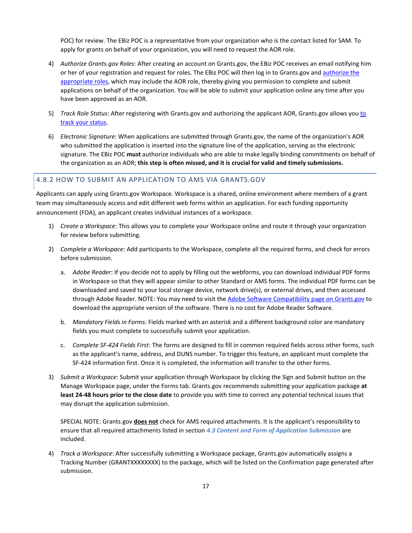POC) for review. The EBiz POC is a representative from your organization who is the contact listed for SAM. To apply for grants on behalf of your organization, you will need to request the AOR role.

- 4) *Authorize Grants.gov Roles*: After creating an account on Grants.gov, the EBiz POC receives an email notifying him or her of your registration and request for roles. The EBiz POC will then log in to Grants.gov and [authorize the](https://www.grants.gov/web/grants/applicants/registration/authorize-roles.html)  [appropriate roles,](https://www.grants.gov/web/grants/applicants/registration/authorize-roles.html) which may include the AOR role, thereby giving you permission to complete and submit applications on behalf of the organization. You will be able to submit your application online any time after you have been approved as an AOR.
- 5) *Track Role Status*: After registering with Grants.gov and authorizing the applicant AOR, Grants.gov allows yo[u to](https://www.grants.gov/web/grants/applicants/registration/track-role-status.html)  [track your status.](https://www.grants.gov/web/grants/applicants/registration/track-role-status.html)
- 6) *Electronic Signature*: When applications are submitted through Grants.gov, the name of the organization's AOR who submitted the application is inserted into the signature line of the application, serving as the electronic signature. The EBiz POC **must** authorize individuals who are able to make legally binding commitments on behalf of the organization as an AOR; **this step is often missed, and it is crucial for valid and timely submissions.**

#### 4.8.2 HOW TO SUBMIT AN APPLICATION TO AMS VIA GRANTS.GOV

Applicants can apply using Grants.gov Workspace. Workspace is a shared, online environment where members of a grant team may simultaneously access and edit different web forms within an application. For each funding opportunity announcement (FOA), an applicant creates individual instances of a workspace.

- 1) *Create a Workspace*: This allows you to complete your Workspace online and route it through your organization for review before submitting.
- 2) *Complete a Workspace*: Add participants to the Workspace, complete all the required forms, and check for errors before submission.
	- a. *Adobe Reader*: If you decide not to apply by filling out the webforms, you can download individual PDF forms in Workspace so that they will appear similar to other Standard or AMS forms. The individual PDF forms can be downloaded and saved to your local storage device, network drive(s), or external drives, and then accessed through Adobe Reader. NOTE: You may need to visit th[e Adobe Software Compatibility page on Grants.gov](https://www.grants.gov/web/grants/applicants/adobe-software-compatibility.html) to download the appropriate version of the software. There is no cost for Adobe Reader Software.
	- b. *Mandatory Fields in Forms:* Fields marked with an asterisk and a different background color are mandatory fields you must complete to successfully submit your application.
	- c. *Complete SF-424 Fields First*: The forms are designed to fill in common required fields across other forms, such as the applicant's name, address, and DUNS number. To trigger this feature, an applicant must complete the SF-424 information first. Once it is completed, the information will transfer to the other forms.
- 3) *Submit a Workspace*: Submit your application through Workspace by clicking the Sign and Submit button on the Manage Workspace page, under the Forms tab. Grants.gov recommends submitting your application package **at least 24-48 hours prior to the close date** to provide you with time to correct any potential technical issues that may disrupt the application submission.

SPECIAL NOTE: Grants.gov **does not** check for AMS required attachments. It is the applicant's responsibility to ensure that all required attachments listed in section *[4.3 Content and Form of Application Submission](#page-11-0)* are included.

4) *Track a Workspace*: After successfully submitting a Workspace package, Grants.gov automatically assigns a Tracking Number (GRANTXXXXXXXX) to the package, which will be listed on the Confirmation page generated after submission.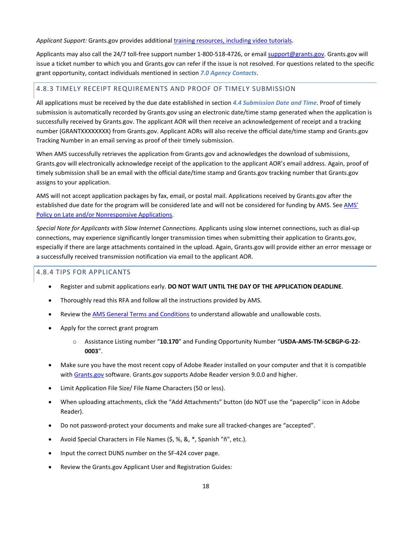#### *Applicant Support:* Grants.gov provides additiona[l training resources, including video tutorials.](https://www.grants.gov/web/grants/applicants/applicant-training.html)

Applicants may also call the 24/7 toll-free support number 1-800-518-4726, or emai[l support@grants.gov.](mailto:support@grants.gov) Grants.gov will issue a ticket number to which you and Grants.gov can refer if the issue is not resolved. For questions related to the specific grant opportunity, contact individuals mentioned in section *[7.0 Agency Contacts](#page-18-5)*.

## 4.8.3 TIMELY RECEIPT REQUIREMENTS AND PROOF OF TIMELY SUBMISSION

All applications must be received by the due date established in section *[4.4 Submission Date and Time](#page-13-0)*. Proof of timely submission is automatically recorded by Grants.gov using an electronic date/time stamp generated when the application is successfully received by Grants.gov. The applicant AOR will then receive an acknowledgement of receipt and a tracking number (GRANTXXXXXXXX) from Grants.gov. Applicant AORs will also receive the official date/time stamp and Grants.gov Tracking Number in an email serving as proof of their timely submission.

When AMS successfully retrieves the application from Grants.gov and acknowledges the download of submissions, Grants.gov will electronically acknowledge receipt of the application to the applicant AOR's email address. Again, proof of timely submission shall be an email with the official date/time stamp and Grants.gov tracking number that Grants.gov assigns to your application.

AMS will not accept application packages by fax, email, or postal mail. Applications received by Grants.gov after the established due date for the program will be considered late and will not be considered for funding by AMS. Se[e AMS'](https://www.ams.usda.gov/sites/default/files/media/AMSPolicyonConsiderationofLateNonresponsiveApplications.pdf)  [Policy on Late and/or Nonresponsive Applications.](https://www.ams.usda.gov/sites/default/files/media/AMSPolicyonConsiderationofLateNonresponsiveApplications.pdf)

*Special Note for Applicants with Slow Internet Connections.* Applicants using slow internet connections, such as dial-up connections, may experience significantly longer transmission times when submitting their application to Grants.gov, especially if there are large attachments contained in the upload. Again, Grants.gov will provide either an error message or a successfully received transmission notification via email to the applicant AOR.

## 4.8.4 TIPS FOR APPLICANTS

- Register and submit applications early. **DO NOT WAIT UNTIL THE DAY OF THE APPLICATION DEADLINE**.
- Thoroughly read this RFA and follow all the instructions provided by AMS.
- Review th[e AMS General Terms and Conditions](https://www.ams.usda.gov/sites/default/files/media/FY2021_GD_TermsandConditions.pdf) to understand allowable and unallowable costs.
- Apply for the correct grant program
	- o Assistance Listing number "**10.170**" and Funding Opportunity Number "**USDA-AMS-TM-SCBGP-G-22- 0003**".
- Make sure you have the most recent copy of Adobe Reader installed on your computer and that it is compatible with [Grants.gov](http://www.grants.gov/) software. Grants.gov supports Adobe Reader version 9.0.0 and higher.
- Limit Application File Size/ File Name Characters (50 or less).
- When uploading attachments, click the "Add Attachments" button (do NOT use the "paperclip" icon in Adobe Reader).
- Do not password-protect your documents and make sure all tracked-changes are "accepted".
- Avoid Special Characters in File Names (\$, %, &, \*, Spanish "ñ", etc.).
- Input the correct DUNS number on the SF-424 cover page.
- Review the Grants.gov Applicant User and Registration Guides: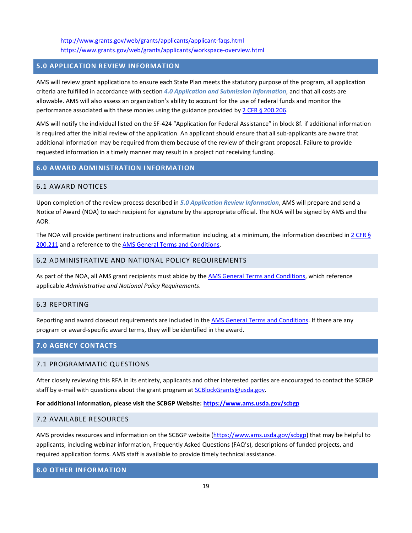<http://www.grants.gov/web/grants/applicants/applicant-faqs.html> <https://www.grants.gov/web/grants/applicants/workspace-overview.html>

## <span id="page-18-0"></span>**5.0 APPLICATION REVIEW INFORMATION**

AMS will review grant applications to ensure each State Plan meets the statutory purpose of the program, all application criteria are fulfilled in accordance with section *[4.0 Application and Submission Information](#page-10-4)*, and that all costs are allowable. AMS will also assess an organization's ability to account for the use of Federal funds and monitor the performance associated with these monies using the guidance provided b[y 2 CFR § 200.206.](https://www.ecfr.gov/current/title-2/subtitle-A/chapter-II/part-200/subpart-C/section-200.206)

AMS will notify the individual listed on the SF-424 "Application for Federal Assistance" in block 8f. if additional information is required after the initial review of the application. An applicant should ensure that all sub-applicants are aware that additional information may be required from them because of the review of their grant proposal. Failure to provide requested information in a timely manner may result in a project not receiving funding.

## <span id="page-18-1"></span>**6.0 AWARD ADMINISTRATION INFORMATION**

#### <span id="page-18-2"></span>6.1 AWARD NOTICES

Upon completion of the review process described in *[5.0 Application Review Information](#page-18-0)*, AMS will prepare and send a Notice of Award (NOA) to each recipient for signature by the appropriate official. The NOA will be signed by AMS and the AOR.

The NOA will provide pertinent instructions and information including, at a minimum, the information described in  $2$  CFR § [200.211](https://www.ecfr.gov/current/title-2/subtitle-A/chapter-II/part-200/subpart-C/section-200.211) and a reference to the [AMS General Terms and Conditions.](https://www.ams.usda.gov/sites/default/files/media/FY2021_GD_TermsandConditions.pdf)

## <span id="page-18-3"></span>6.2 ADMINISTRATIVE AND NATIONAL POLICY REQUIREMENTS

As part of the NOA, all AMS grant recipients must abide by th[e AMS General Terms and Conditions,](https://www.ams.usda.gov/sites/default/files/media/FY2021_GD_TermsandConditions.pdf) which reference applicable *Administrative and National Policy Requirements*.

## <span id="page-18-4"></span>6.3 REPORTING

Reporting and award closeout requirements are included in the [AMS General Terms and Conditions.](https://www.ams.usda.gov/sites/default/files/media/FY2021_GD_TermsandConditions.pdf) If there are any program or award-specific award terms, they will be identified in the award.

## <span id="page-18-5"></span>**7.0 AGENCY CONTACTS**

#### <span id="page-18-6"></span>7.1 PROGRAMMATIC QUESTIONS

After closely reviewing this RFA in its entirety, applicants and other interested parties are encouraged to contact the SCBGP staff by e-mail with questions about the grant program at **SCBlockGrants@usda.gov**.

## **For additional information, please visit the SCBGP Website:<https://www.ams.usda.gov/scbgp>**

#### <span id="page-18-7"></span>7.2 AVAILABLE RESOURCES

AMS provides resources and information on the SCBGP website [\(https://www.ams.usda.gov/scbgp\)](https://www.ams.usda.gov/scbgp) that may be helpful to applicants, including webinar information, Frequently Asked Questions (FAQ's), descriptions of funded projects, and required application forms. AMS staff is available to provide timely technical assistance.

## <span id="page-18-8"></span>**8.0 OTHER INFORMATION**